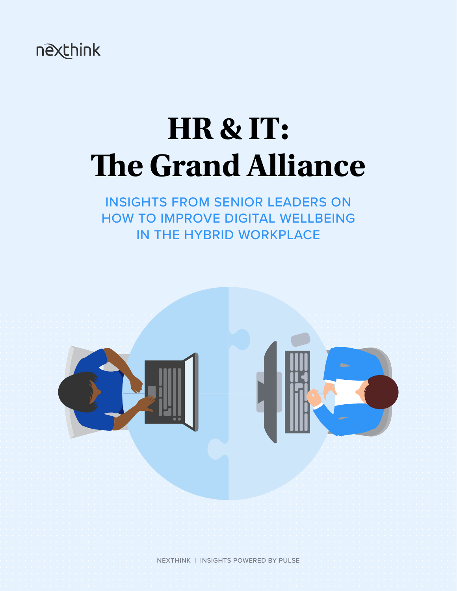nexthink

# **HR & IT: The Grand Alliance**

INSIGHTS FROM SENIOR LEADERS ON HOW TO IMPROVE DIGITAL WELLBEING IN THE HYBRID WORKPLACE



NEXTHINK | INSIGHTS POWERED BY PULSE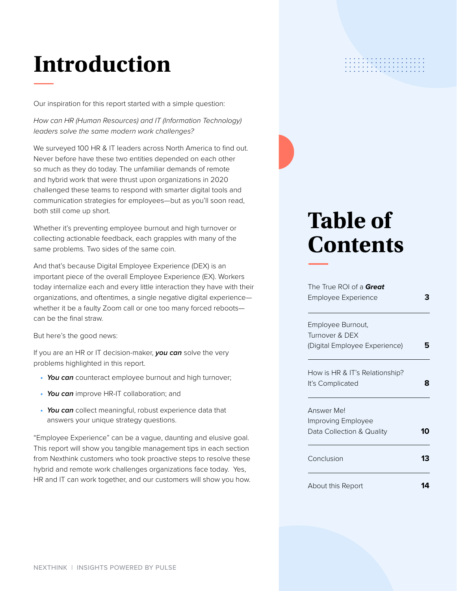## **Introduction**

Our inspiration for this report started with a simple question:

How can HR (Human Resources) and IT (Information Technology) leaders solve the same modern work challenges?

We surveyed 100 HR & IT leaders across North America to find out. Never before have these two entities depended on each other so much as they do today. The unfamiliar demands of remote and hybrid work that were thrust upon organizations in 2020 challenged these teams to respond with smarter digital tools and communication strategies for employees—but as you'll soon read, both still come up short.

Whether it's preventing employee burnout and high turnover or collecting actionable feedback, each grapples with many of the same problems. Two sides of the same coin.

And that's because Digital Employee Experience (DEX) is an important piece of the overall Employee Experience (EX). Workers today internalize each and every little interaction they have with their organizations, and oftentimes, a single negative digital experience whether it be a faulty Zoom call or one too many forced reboots can be the final straw.

But here's the good news:

If you are an HR or IT decision-maker, **you can** solve the very problems highlighted in this report.

- **You can** counteract employee burnout and high turnover;
- **You can** improve HR-IT collaboration; and
- **You can** collect meaningful, robust experience data that answers your unique strategy questions.

"Employee Experience" can be a vague, daunting and elusive goal. This report will show you tangible management tips in each section from Nexthink customers who took proactive steps to resolve these hybrid and remote work challenges organizations face today. Yes, HR and IT can work together, and our customers will show you how.

## **Table of Contents**

. . . . . . . . . . . . . . . . . . .

| The True ROI of a <b>Great</b><br>Employee Experience |    |
|-------------------------------------------------------|----|
|                                                       |    |
| Employee Burnout,                                     |    |
| Turnover & DEX                                        |    |
| (Digital Employee Experience)                         |    |
| How is HR & IT's Relationship?                        |    |
| It's Complicated                                      |    |
| Answer Mel                                            |    |
| Improving Employee                                    |    |
| Data Collection & Quality                             | 10 |
| Conclusion                                            | 13 |
| About this Report                                     |    |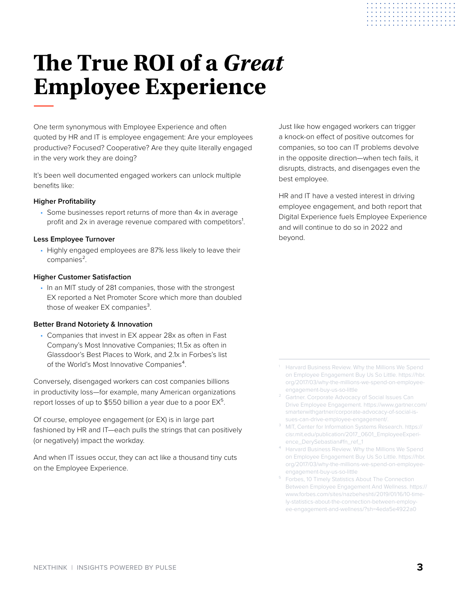## <span id="page-2-0"></span>**The True ROI of a Great Employee Experience**

One term synonymous with Employee Experience and often quoted by HR and IT is employee engagement: Are your employees productive? Focused? Cooperative? Are they quite literally engaged in the very work they are doing?

It's been well documented engaged workers can unlock multiple benefits like:

#### **Higher Profitability**

• Some businesses report returns of more than 4x in average profit and 2x in average revenue compared with competitors<sup>1</sup>.

#### **Less Employee Turnover**

• Highly engaged employees are 87% less likely to leave their companies<sup>2</sup>.

#### **Higher Customer Satisfaction**

• In an MIT study of 281 companies, those with the strongest EX reported a Net Promoter Score which more than doubled those of weaker  $EX$  companies<sup>3</sup>.

#### **Better Brand Notoriety & Innovation**

• Companies that invest in EX appear 28x as often in Fast Company's Most Innovative Companies; 11.5x as often in Glassdoor's Best Places to Work, and 2.1x in Forbes's list of the World's Most Innovative Companies<sup>4</sup>.

Conversely, disengaged workers can cost companies billions in productivity loss—for example, many American organizations report losses of up to \$550 billion a year due to a poor  $EX^5$ .

Of course, employee engagement (or EX) is in large part fashioned by HR and IT—each pulls the strings that can positively (or negatively) impact the workday.

And when IT issues occur, they can act like a thousand tiny cuts on the Employee Experience.

Just like how engaged workers can trigger a knock-on effect of positive outcomes for companies, so too can IT problems devolve in the opposite direction—when tech fails, it disrupts, distracts, and disengages even the best employee.

. . . . . . . . . . . . . . . . . . . . . . . . . . . . . . . .

HR and IT have a vested interest in driving employee engagement, and both report that Digital Experience fuels Employee Experience and will continue to do so in 2022 and beyond.

- Harvard Business Review. Why the Millions We Spend on Employee Engagement Buy Us So Little. https://hbr. org/2017/03/why-the-millions-we-spend-on-employeeengagement-buy-us-so-little
- Gartner. Corporate Advocacy of Social Issues Can Drive Employee Engagement. https://www.gartner.com/ smarterwithgartner/corporate-advocacy-of-social-issues-can-drive-employee-engagement/.
- ³ MIT, Center for Information Systems Research. https:// cisr.mit.edu/publication/2017\_0601\_EmployeeExperience\_DerySebastian#fn\_ref\_1
- Harvard Business Review. Why the Millions We Spend on Employee Engagement Buy Us So Little. https://hbr. org/2017/03/why-the-millions-we-spend-on-employeeengagement-buy-us-so-little
- ⁵ Forbes, 10 Timely Statistics About The Connection Between Employee Engagement And Wellness. https:// www.forbes.com/sites/nazbeheshti/2019/01/16/10-timely-statistics-about-the-connection-between-employee-engagement-and-wellness/?sh=4eda5e4922a0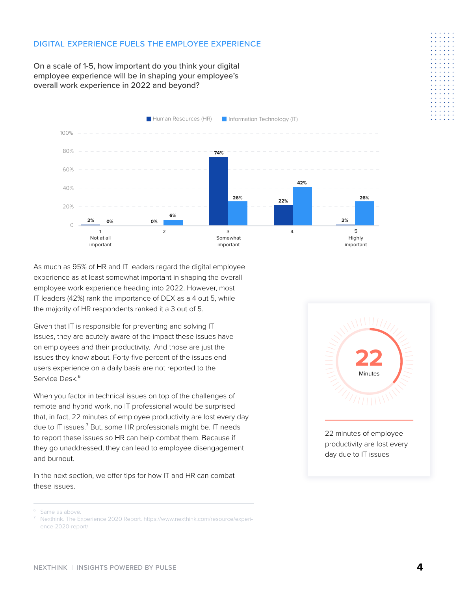#### DIGITAL EXPERIENCE FUELS THE EMPLOYEE EXPERIENCE

On a scale of 1-5, how important do you think your digital employee experience will be in shaping your employee's overall work experience in 2022 and beyond?



As much as 95% of HR and IT leaders regard the digital employee experience as at least somewhat important in shaping the overall employee work experience heading into 2022. However, most IT leaders (42%) rank the importance of DEX as a 4 out 5, while the majority of HR respondents ranked it a 3 out of 5.

Given that IT is responsible for preventing and solving IT issues, they are acutely aware of the impact these issues have on employees and their productivity. And those are just the issues they know about. Forty-five percent of the issues end users experience on a daily basis are not reported to the Service Desk.<sup>6</sup>

When you factor in technical issues on top of the challenges of remote and hybrid work, no IT professional would be surprised that, in fact, 22 minutes of employee productivity are lost every day due to IT issues.<sup>7</sup> But, some HR professionals might be. IT needs to report these issues so HR can help combat them. Because if they go unaddressed, they can lead to employee disengagement and burnout.

In the next section, we offer tips for how IT and HR can combat these issues.



<sup>&</sup>lt;sup>6</sup> Same as above.

⁷ Nexthink. The Experience 2020 Report. https://www.nexthink.com/resource/experience-2020-report/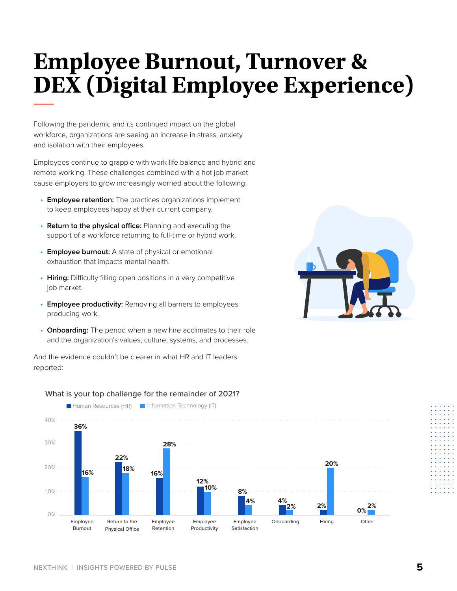## <span id="page-4-0"></span>**Employee Burnout, Turnover & DEX (Digital Employee Experience)**

Following the pandemic and its continued impact on the global workforce, organizations are seeing an increase in stress, anxiety and isolation with their employees.

Employees continue to grapple with work-life balance and hybrid and remote working. These challenges combined with a hot job market cause employers to grow increasingly worried about the following:

- **Employee retention:** The practices organizations implement to keep employees happy at their current company.
- **Return to the physical office:** Planning and executing the support of a workforce returning to full-time or hybrid work.
- **Employee burnout:** A state of physical or emotional exhaustion that impacts mental health.
- **Hiring:** Difficulty filling open positions in a very competitive job market.
- **Employee productivity:** Removing all barriers to employees producing work.
- **Onboarding:** The period when a new hire acclimates to their role and the organization's values, culture, systems, and processes.

And the evidence couldn't be clearer in what HR and IT leaders reported:





#### What is your top challenge for the remainder of 2021?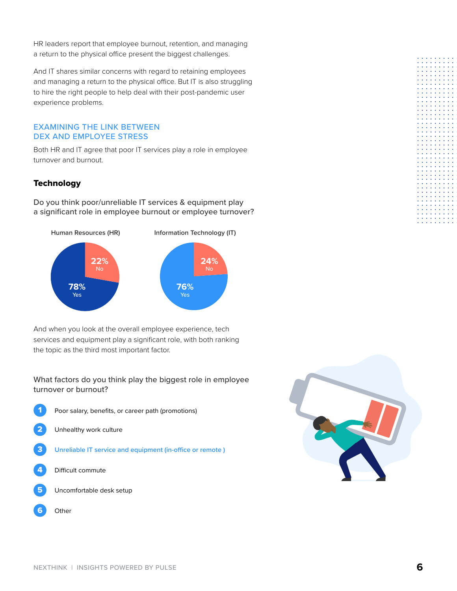HR leaders report that employee burnout, retention, and managing a return to the physical office present the biggest challenges.

And IT shares similar concerns with regard to retaining employees and managing a return to the physical office. But IT is also struggling to hire the right people to help deal with their post-pandemic user experience problems.

#### EXAMINING THE LINK BETWEEN DEX AND EMPLOYEE STRESS

Both HR and IT agree that poor IT services play a role in employee turnover and burnout.

#### **Technology**

Do you think poor/unreliable IT services & equipment play a significant role in employee burnout or employee turnover?



And when you look at the overall employee experience, tech services and equipment play a significant role, with both ranking the topic as the third most important factor.

What factors do you think play the biggest role in employee turnover or burnout?

- Poor salary, benefits, or career path (promotions) Unhealthy work culture 3 **Unreliable IT service and equipment (in-office or remote )** Difficult commute
- 5 Uncomfortable desk setup
- 6 **Other**

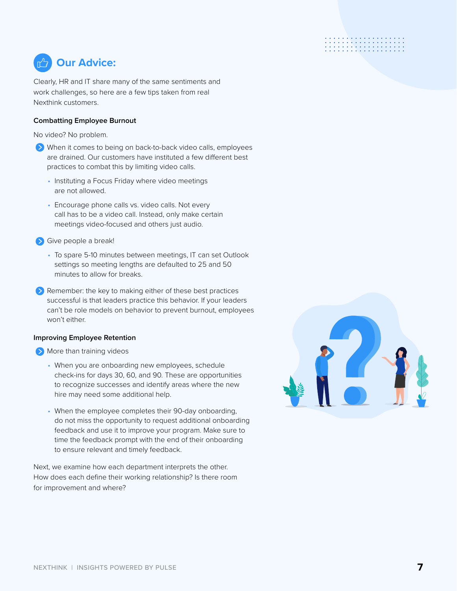### **Our Advice:**

Clearly, HR and IT share many of the same sentiments and work challenges, so here are a few tips taken from real Nexthink customers.

### **Combatting Employee Burnout**

No video? No problem.

- When it comes to being on back-to-back video calls, employees are drained. Our customers have instituted a few different best practices to combat this by limiting video calls.
	- Instituting a Focus Friday where video meetings are not allowed.
	- Encourage phone calls vs. video calls. Not every call has to be a video call. Instead, only make certain meetings video-focused and others just audio.
- Sive people a break!
	- To spare 5-10 minutes between meetings, IT can set Outlook settings so meeting lengths are defaulted to 25 and 50 minutes to allow for breaks.
- Remember: the key to making either of these best practices successful is that leaders practice this behavior. If your leaders can't be role models on behavior to prevent burnout, employees won't either.

#### **Improving Employee Retention**

**More than training videos** 

- When you are onboarding new employees, schedule check-ins for days 30, 60, and 90. These are opportunities to recognize successes and identify areas where the new hire may need some additional help.
- When the employee completes their 90-day onboarding, do not miss the opportunity to request additional onboarding feedback and use it to improve your program. Make sure to time the feedback prompt with the end of their onboarding to ensure relevant and timely feedback.

Next, we examine how each department interprets the other. How does each define their working relationship? Is there room for improvement and where?

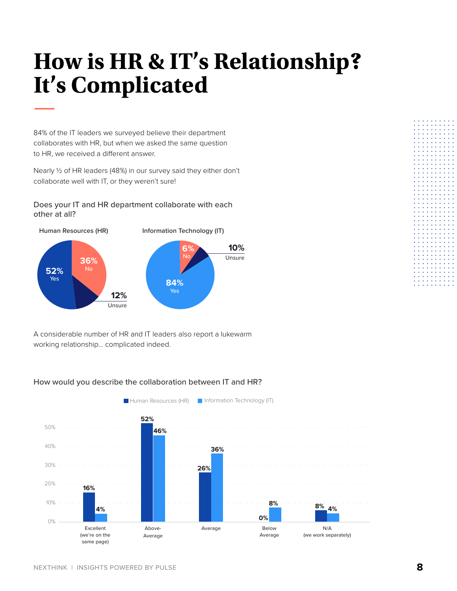## <span id="page-7-0"></span>**How is HR & IT's Relationship? It's Complicated**

84% of the IT leaders we surveyed believe their department collaborates with HR, but when we asked the same question to HR, we received a different answer.

Nearly ½ of HR leaders (48%) in our survey said they either don't collaborate well with IT, or they weren't sure!

Does your IT and HR department collaborate with each other at all?



A considerable number of HR and IT leaders also report a lukewarm working relationship… complicated indeed.

#### **Human Resources (HR) Information Technology (IT)** Above-Average Excellent (we're on the same page) Below Average Average Below N/A (we work separately) 50% 40% 30% 20% 10% 0% **16% 52% 46% 26% 36% 4% 8% 4% 8% 0%**

#### How would you describe the collaboration between IT and HR?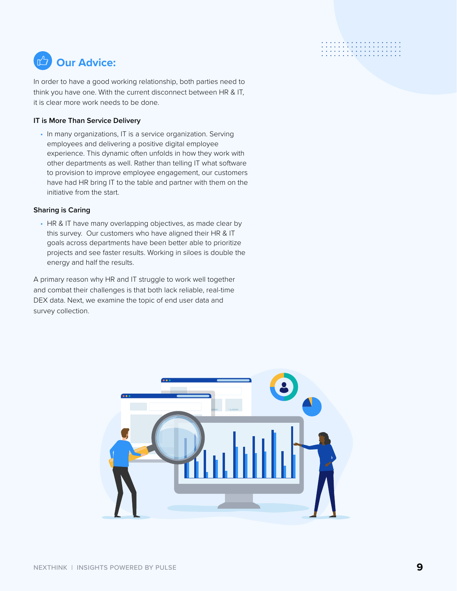### . . . . . . . . . . . . . . . . . .<br>. . . . . . . . . . . . . . . . .

### **Our Advice:**

In order to have a good working relationship, both parties need to think you have one. With the current disconnect between HR & IT, it is clear more work needs to be done.

#### **IT is More Than Service Delivery**

• In many organizations, IT is a service organization. Serving employees and delivering a positive digital employee experience. This dynamic often unfolds in how they work with other departments as well. Rather than telling IT what software to provision to improve employee engagement, our customers have had HR bring IT to the table and partner with them on the initiative from the start.

#### **Sharing is Caring**

• HR & IT have many overlapping objectives, as made clear by this survey. Our customers who have aligned their HR & IT goals across departments have been better able to prioritize projects and see faster results. Working in siloes is double the energy and half the results.

A primary reason why HR and IT struggle to work well together and combat their challenges is that both lack reliable, real-time DEX data. Next, we examine the topic of end user data and survey collection.

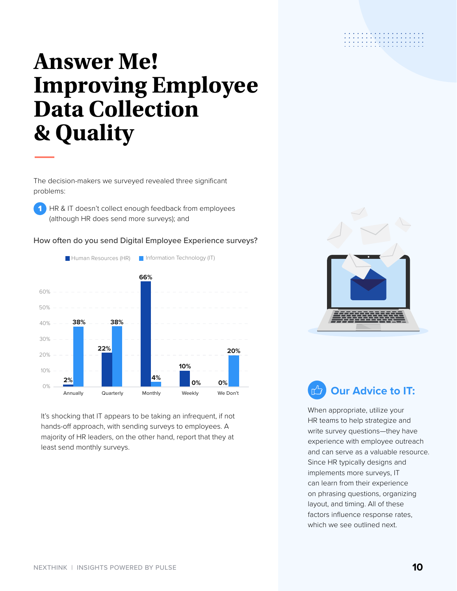### <span id="page-9-0"></span>**Answer Me! Improving Employee Data Collection & Quality**

The decision-makers we surveyed revealed three significant problems:

**1** HR & IT doesn't collect enough feedback from employees (although HR does send more surveys); and

How often do you send Digital Employee Experience surveys?

### **Human Resources (HR) Information Technology (IT)** 60% 50% 40% 30% 20% **38% 22% 38% 66% 20%**

It's shocking that IT appears to be taking an infrequent, if not hands-off approach, with sending surveys to employees. A majority of HR leaders, on the other hand, report that they at least send monthly surveys.

**4% 2%**

Annually Quarterly Monthly Weekly We Don't

**10%**

**0%**

**0%**



والمتواط والمتواطأ والمتوا 

### **Our Advice to IT:**

When appropriate, utilize your HR teams to help strategize and write survey questions—they have experience with employee outreach and can serve as a valuable resource. Since HR typically designs and implements more surveys, IT can learn from their experience on phrasing questions, organizing layout, and timing. All of these factors influence response rates, which we see outlined next.

10%

0%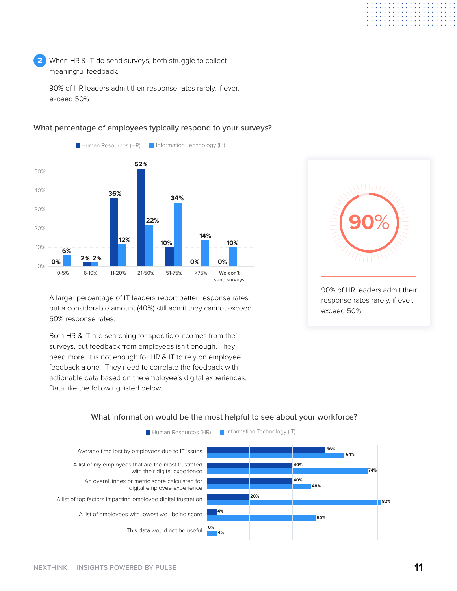When HR & IT do send surveys, both struggle to collect meaningful feedback. 2

90% of HR leaders admit their response rates rarely, if ever, exceed 50%:



What percentage of employees typically respond to your surveys?

A larger percentage of IT leaders report better response rates, but a considerable amount (40%) still admit they cannot exceed 50% response rates.

Both HR & IT are searching for specific outcomes from their surveys, but feedback from employees isn't enough. They need more. It is not enough for HR & IT to rely on employee feedback alone. They need to correlate the feedback with actionable data based on the employee's digital experiences. Data like the following listed below.



#### What information would be the most helpful to see about your workforce?

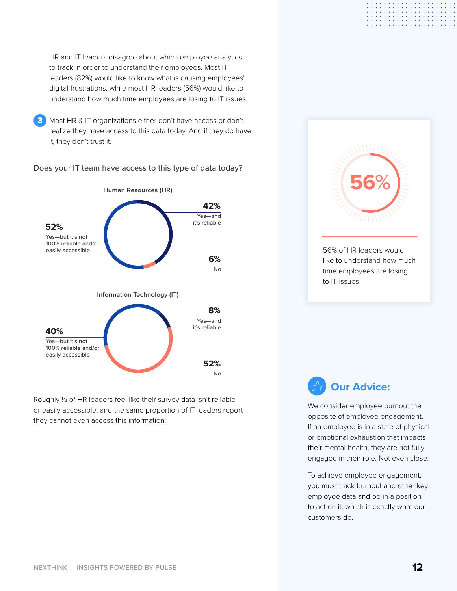HR and IT leaders disagree about which employee analytics to track in order to understand their employees. Most IT leaders (82%) would like to know what is causing employees' digital frustrations, while most HR leaders (56%) would like to understand how much time employees are losing to IT issues.

**3** Most HR & IT organizations either don't have access or don't realize they have access to this data today. And if they do have it, they don't trust it.



Does your IT team have access to this type of data today?

Roughly ½ of HR leaders feel like their survey data isn't reliable or easily accessible, and the same proportion of IT leaders report they cannot even access this information!



### **Our Advice:**

We consider employee burnout the opposite of employee engagement. If an employee is in a state of physical or emotional exhaustion that impacts their mental health, they are not fully engaged in their role. Not even close.

To achieve employee engagement, you must track burnout and other key employee data and be in a position to act on it, which is exactly what our customers do.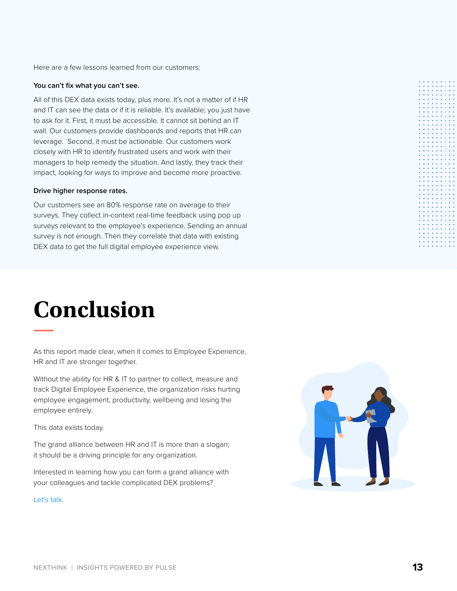<span id="page-12-0"></span>Here are a few lessons learned from our customers:

#### **You can't fix what you can't see.**

All of this DEX data exists today, plus more. It's not a matter of if HR and IT can see the data or if it is reliable. It's available; you just have to ask for it. First, it must be accessible. It cannot sit behind an IT wall. Our customers provide dashboards and reports that HR can leverage. Second, it must be actionable. Our customers work closely with HR to identify frustrated users and work with their managers to help remedy the situation. And lastly, they track their impact, looking for ways to improve and become more proactive.

#### **Drive higher response rates.**

Our customers see an 80% response rate on average to their surveys. They collect in-context real-time feedback using pop up surveys relevant to the employee's experience. Sending an annual survey is not enough. Then they correlate that data with existing DEX data to get the full digital employee experience view.

### **Conclusion**

As this report made clear, when it comes to Employee Experience, HR and IT are stronger together.

Without the ability for HR & IT to partner to collect, measure and track Digital Employee Experience, the organization risks hurting employee engagement, productivity, wellbeing and losing the employee entirely.

This data exists today.

The grand alliance between HR and IT is more than a slogan; it should be a driving principle for any organization.

Interested in learning how you can form a grand alliance with your colleagues and tackle complicated DEX problems?

[Let's talk.](https://www.nexthink.com/contact/)